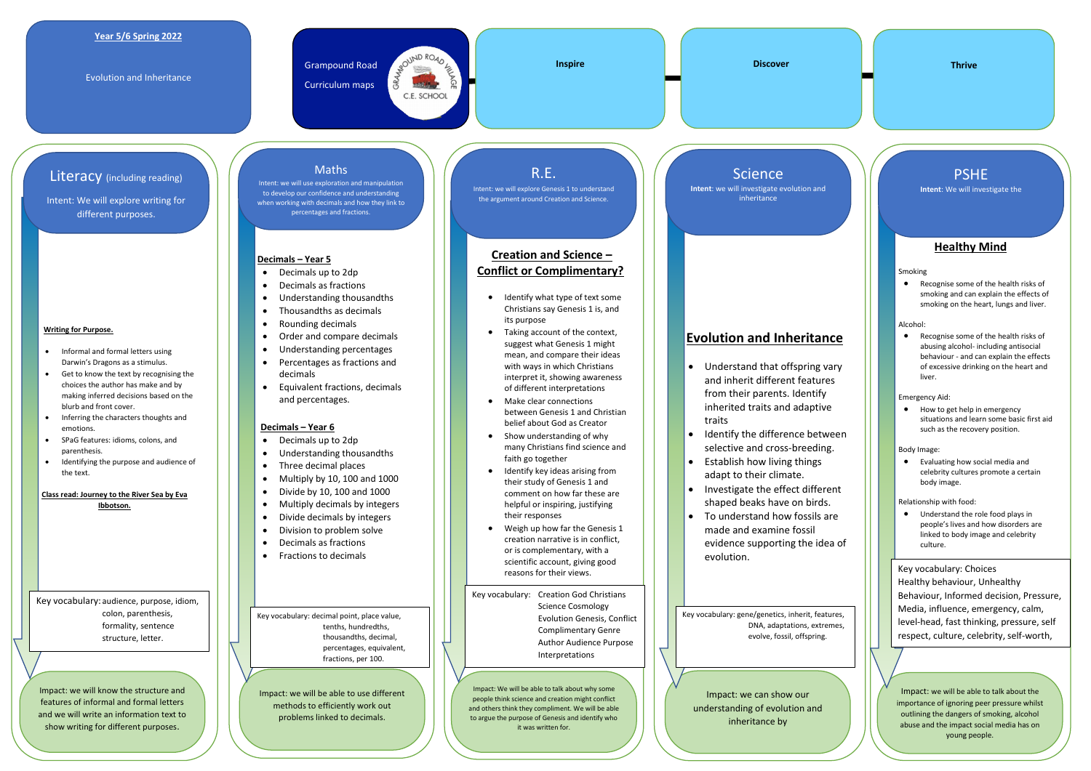**Writing for Purpose.**

 Informal and formal letters using Darwin's Dragons as a stimulus. Get to know the text by recognising the choices the author has make and by making inferred decisions based on the

blurb and front cover.

Inferring the characters thoughts and

#### emotions. SPaG features: idioms, colons, and

parenthesis. Identifying the purpose and audience of the text.

**Class read: Journey to the River Sea by Eva** 

- Decimals up to 2dp
- Decimals as fractions
- Understanding thousandths
- Thousandths as decimals
- Rounding decimals
- Order and compare decimals
- Understanding percentages
- Percentages as fractions and decimals
- Equivalent fractions, decimals and percentages.

**Ibbotson.**

#### **Year 5/6 Spring 2022**

Evolution and Inheritance

Grampound Road Curriculum maps

BROUND ROAD FE C.E. SCHOOL



### **Inspire Discover Thrive**

#### **Decimals – Year 5**

#### **Decimals – Year 6**

- Identify what type of text some Christians say Genesis 1 is, and its purpose
- Taking account of the context, suggest what Genesis 1 might mean, and compare their ideas with ways in which Christians interpret it, showing awareness of different interpretations
- Make clear connections between Genesis 1 and Christian belief about God as Creator
- Show understanding of why many Christians find science and faith go together
- Identify key ideas arising from their study of Genesis 1 and comment on how far these are helpful or inspiring, justifying their responses
- Weigh up how far the Genesis 1 creation narrative is in conflict, or is complementary, with a scientific account, giving good reasons for their views.
- Decimals up to 2dp
- Understanding thousandths
- Three decimal places
- $\bullet$  Multiply by 10, 100 and 1000
- $\bullet$  Divide by 10, 100 and 1000
- Multiply decimals by integers
- Divide decimals by integers
- Division to problem solve
- Decimals as fractions
- Fractions to decimals

# **Creation and Science – Conflict or Complimentary?**

● Recognise some of the health risks of abusing alcohol- including antisocial behaviour - and can explain the effects of excessive drinking on the heart and liver.

• How to get help in emergency situations and learn some basic first aid such as the recovery position.

# **Evolution and Inheritance**

Intent: we will use exploration and manipulation to develop our confidence and understanding when working with decimals and how they link to percentages and fractions.

- Understand that offspring vary and inherit different features from their parents. Identify inherited traits and adaptive traits
- Identify the difference between selective and cross-breeding.
- Establish how living things adapt to their climate.
- Investigate the effect different shaped beaks have on birds.
- To understand how fossils are made and examine fossil evidence supporting the idea of evolution.

# **Healthy Mind**

Smoking

 Recognise some of the health risks of smoking and can explain the effects of smoking on the heart, lungs and liver.

#### Alcohol:

Emergency Aid:

Body Image:

 Evaluating how social media and celebrity cultures promote a certain body image.

Relationship with food:

 Understand the role food plays in people's lives and how disorders are linked to body image and celebrity culture.

Impact: we will know the structure and features of informal and formal letters and we will write an information text to show writing for different purposes.

Impact: we will be able to use different methods to efficiently work out problems linked to decimals.

Impact: We will be able to talk about why some people think science and creation might conflict and others think they compliment. We will be able to argue the purpose of Genesis and identify who it was written for.

**Science** 

Impact: we can show our understanding of evolution and inheritance by

Impact: we will be able to talk about the importance of ignoring peer pressure whilst outlining the dangers of smoking, alcohol abuse and the impact social media has on young people.

Literacy (including reading)

Intent: We will explore writing for different purposes.

# Maths

R.E.

Intent: we will explore Genesis 1 to understand the argument around Creation and Science.

**Intent**: we will investigate evolution and inheritance

# PSHE

**Intent**: We will investigate the

Key vocabulary: audience, purpose, idiom, colon, parenthesis, formality, sentence structure, letter.

Key vocabulary: decimal point, place value, tenths, hundredths, thousandths, decimal, percentages, equivalent, fractions, per 100.

Key vocabulary: Creation God Christians Science Cosmology Evolution Genesis, Conflict Complimentary Genre Author Audience Purpose Interpretations

Key vocabulary: gene/genetics, inherit, features, DNA, adaptations, extremes, evolve, fossil, offspring.

Key vocabulary: Choices Healthy behaviour, Unhealthy Behaviour, Informed decision, Pressure, Media, influence, emergency, calm, level-head, fast thinking, pressure, self respect, culture, celebrity, self-worth,